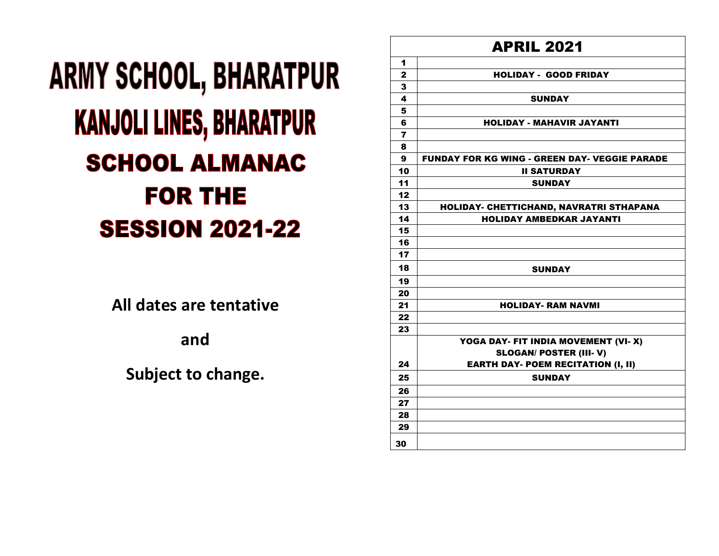## **ARMY SCHOOL, BHARATPUR KANJOLI LINES, BHARATPUR SCHOOL ALMANAC FOR THE SESSION 2021-22**

**All dates are tentative** 

**and** 

**Subject to change.**

| <b>APRIL 2021</b>       |                                                      |
|-------------------------|------------------------------------------------------|
| 1                       |                                                      |
| $\overline{\mathbf{2}}$ | <b>HOLIDAY - GOOD FRIDAY</b>                         |
| 3                       |                                                      |
| 4                       | <b>SUNDAY</b>                                        |
| 5                       |                                                      |
| 6                       | <b>HOLIDAY - MAHAVIR JAYANTI</b>                     |
| 7                       |                                                      |
| 8                       |                                                      |
| 9                       | <b>FUNDAY FOR KG WING - GREEN DAY- VEGGIE PARADE</b> |
| 10                      | <b>II SATURDAY</b>                                   |
| 11                      | <b>SUNDAY</b>                                        |
| 12                      |                                                      |
| 13                      | HOLIDAY- CHETTICHAND, NAVRATRI STHAPANA              |
| 14                      | <b>HOLIDAY AMBEDKAR JAYANTI</b>                      |
| 15                      |                                                      |
| 16                      |                                                      |
| 17                      |                                                      |
| 18                      | <b>SUNDAY</b>                                        |
| 19                      |                                                      |
| 20                      |                                                      |
| 21                      | <b>HOLIDAY- RAM NAVMI</b>                            |
| 22                      |                                                      |
| 23                      |                                                      |
|                         | YOGA DAY- FIT INDIA MOVEMENT (VI-X)                  |
|                         | <b>SLOGAN/ POSTER (III- V)</b>                       |
| 24                      | <b>EARTH DAY- POEM RECITATION (I, II)</b>            |
| 25                      | <b>SUNDAY</b>                                        |
| 26                      |                                                      |
| 27                      |                                                      |
| 28                      |                                                      |
| 29                      |                                                      |
| 30                      |                                                      |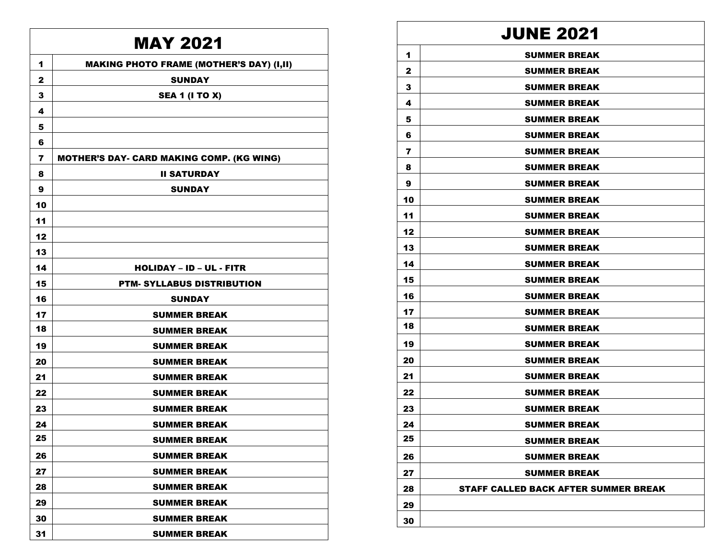## MAY 2021

| 1              | <b>MAKING PHOTO FRAME (MOTHER'S DAY) (I,II)</b>  |
|----------------|--------------------------------------------------|
| $\mathbf{2}$   | <b>SUNDAY</b>                                    |
| 3              | <b>SEA 1 (I TO X)</b>                            |
| 4              |                                                  |
| 5              |                                                  |
| 6              |                                                  |
| $\overline{ }$ | <b>MOTHER'S DAY- CARD MAKING COMP. (KG WING)</b> |
| 8              | <b>II SATURDAY</b>                               |
| 9              | <b>SUNDAY</b>                                    |
| 10             |                                                  |
| 11             |                                                  |
| 12             |                                                  |
| 13             |                                                  |
| 14             | <b>HOLIDAY - ID - UL - FITR</b>                  |
| 15             | <b>PTM- SYLLABUS DISTRIBUTION</b>                |
| 16             | <b>SUNDAY</b>                                    |
| 17             | <b>SUMMER BREAK</b>                              |
| 18             | <b>SUMMER BREAK</b>                              |
| 19             | <b>SUMMER BREAK</b>                              |
| 20             | <b>SUMMER BREAK</b>                              |
| 21             | <b>SUMMER BREAK</b>                              |
| 22             | <b>SUMMER BREAK</b>                              |
| 23             | <b>SUMMER BREAK</b>                              |
| 24             | <b>SUMMER BREAK</b>                              |
| 25             | <b>SUMMER BREAK</b>                              |
| 26             | <b>SUMMER BREAK</b>                              |
| 27             | <b>SUMMER BREAK</b>                              |
| 28             | <b>SUMMER BREAK</b>                              |
| 29             | <b>SUMMER BREAK</b>                              |
| 30             | <b>SUMMER BREAK</b>                              |
| 31             | <b>SUMMER BREAK</b>                              |

## JUNE 2021

| 1  | <b>SUMMER BREAK</b>                         |
|----|---------------------------------------------|
| 2  | <b>SUMMER BREAK</b>                         |
| 3  | <b>SUMMER BREAK</b>                         |
| 4  | <b>SUMMER BREAK</b>                         |
| 5  | <b>SUMMER BREAK</b>                         |
| 6  | <b>SUMMER BREAK</b>                         |
| 7  | <b>SUMMER BREAK</b>                         |
| 8  | <b>SUMMER BREAK</b>                         |
| 9  | <b>SUMMER BREAK</b>                         |
| 10 | <b>SUMMER BREAK</b>                         |
| 11 | <b>SUMMER BREAK</b>                         |
| 12 | <b>SUMMER BREAK</b>                         |
| 13 | <b>SUMMER BREAK</b>                         |
| 14 | <b>SUMMER BREAK</b>                         |
| 15 | <b>SUMMER BREAK</b>                         |
| 16 | <b>SUMMER BREAK</b>                         |
| 17 | <b>SUMMER BREAK</b>                         |
| 18 | <b>SUMMER BREAK</b>                         |
| 19 | <b>SUMMER BREAK</b>                         |
| 20 | <b>SUMMER BREAK</b>                         |
| 21 | <b>SUMMER BREAK</b>                         |
| 22 | <b>SUMMER BREAK</b>                         |
| 23 | <b>SUMMER BREAK</b>                         |
| 24 | <b>SUMMER BREAK</b>                         |
| 25 | <b>SUMMER BREAK</b>                         |
| 26 | <b>SUMMER BREAK</b>                         |
| 27 | <b>SUMMER BREAK</b>                         |
| 28 | <b>STAFF CALLED BACK AFTER SUMMER BREAK</b> |
| 29 |                                             |
| 30 |                                             |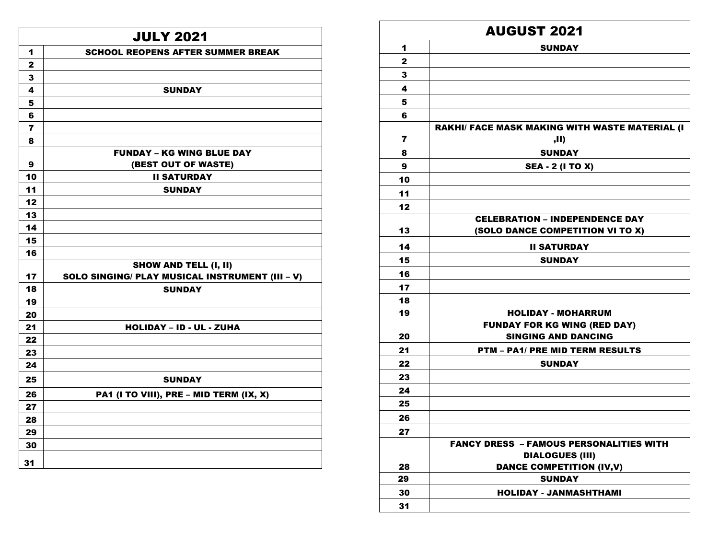|                         | <b>JULY 2021</b>                                |  |  |
|-------------------------|-------------------------------------------------|--|--|
| 1                       | <b>SCHOOL REOPENS AFTER SUMMER BREAK</b>        |  |  |
| $\mathbf{2}$            |                                                 |  |  |
| 3                       |                                                 |  |  |
| $\overline{\mathbf{4}}$ | <b>SUNDAY</b>                                   |  |  |
| 5                       |                                                 |  |  |
| 6                       |                                                 |  |  |
| $\overline{7}$          |                                                 |  |  |
| 8                       |                                                 |  |  |
|                         | <b>FUNDAY - KG WING BLUE DAY</b>                |  |  |
| 9                       | (BEST OUT OF WASTE)                             |  |  |
| 10                      | <b>II SATURDAY</b>                              |  |  |
| 11                      | <b>SUNDAY</b>                                   |  |  |
| 12                      |                                                 |  |  |
| 13                      |                                                 |  |  |
| 14                      |                                                 |  |  |
| 15                      |                                                 |  |  |
| 16                      |                                                 |  |  |
|                         | <b>SHOW AND TELL (I, II)</b>                    |  |  |
| 17                      | SOLO SINGING/ PLAY MUSICAL INSTRUMENT (III - V) |  |  |
| 18                      | <b>SUNDAY</b>                                   |  |  |
| 19                      |                                                 |  |  |
| 20                      |                                                 |  |  |
| 21                      | <b>HOLIDAY - ID - UL - ZUHA</b>                 |  |  |
| 22                      |                                                 |  |  |
| 23                      |                                                 |  |  |
| 24                      |                                                 |  |  |
| 25                      | <b>SUNDAY</b>                                   |  |  |
| 26                      | PA1 (I TO VIII), PRE - MID TERM (IX, X)         |  |  |
| 27                      |                                                 |  |  |
| 28                      |                                                 |  |  |
| 29                      |                                                 |  |  |
| 30                      |                                                 |  |  |
| 31                      |                                                 |  |  |

| <b>AUGUST 2021</b> |                                                                           |  |
|--------------------|---------------------------------------------------------------------------|--|
| 1                  | <b>SUNDAY</b>                                                             |  |
| $\mathbf{2}$       |                                                                           |  |
| 3                  |                                                                           |  |
| 4                  |                                                                           |  |
| 5                  |                                                                           |  |
| 6                  |                                                                           |  |
|                    | <b>RAKHI/ FACE MASK MAKING WITH WASTE MATERIAL (I</b>                     |  |
| 7                  | ,II)                                                                      |  |
| 8                  | <b>SUNDAY</b>                                                             |  |
| 9                  | <b>SEA - 2 (I TO X)</b>                                                   |  |
| 10                 |                                                                           |  |
| 11                 |                                                                           |  |
| 12                 |                                                                           |  |
| 13                 | <b>CELEBRATION - INDEPENDENCE DAY</b><br>(SOLO DANCE COMPETITION VI TO X) |  |
| 14                 | <b>II SATURDAY</b>                                                        |  |
| 15                 | <b>SUNDAY</b>                                                             |  |
| 16                 |                                                                           |  |
| 17                 |                                                                           |  |
| 18                 |                                                                           |  |
| 19                 | <b>HOLIDAY - MOHARRUM</b>                                                 |  |
|                    | <b>FUNDAY FOR KG WING (RED DAY)</b>                                       |  |
| 20                 | <b>SINGING AND DANCING</b>                                                |  |
| 21                 | <b>PTM - PA1/ PRE MID TERM RESULTS</b>                                    |  |
| 22                 | <b>SUNDAY</b>                                                             |  |
| 23                 |                                                                           |  |
| 24                 |                                                                           |  |
| 25                 |                                                                           |  |
| 26                 |                                                                           |  |
| 27                 |                                                                           |  |
|                    | <b>FANCY DRESS - FAMOUS PERSONALITIES WITH</b><br><b>DIALOGUES (III)</b>  |  |
| 28                 | <b>DANCE COMPETITION (IV,V)</b>                                           |  |
| 29                 | <b>SUNDAY</b>                                                             |  |
| 30                 | <b>HOLIDAY - JANMASHTHAMI</b>                                             |  |
| 31                 |                                                                           |  |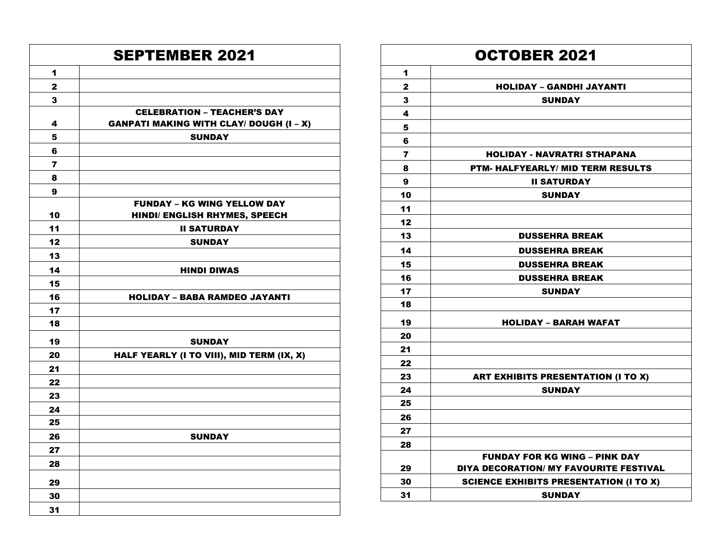|                         | <b>SEPTEMBER 2021</b>                                                                |
|-------------------------|--------------------------------------------------------------------------------------|
| 1                       |                                                                                      |
| $\mathbf{z}$            |                                                                                      |
| 3                       |                                                                                      |
| 4                       | <b>CELEBRATION - TEACHER'S DAY</b><br><b>GANPATI MAKING WITH CLAY/ DOUGH (I - X)</b> |
| 5                       | <b>SUNDAY</b>                                                                        |
| 6                       |                                                                                      |
| $\overline{\mathbf{r}}$ |                                                                                      |
| 8                       |                                                                                      |
| 9                       |                                                                                      |
| 10                      | <b>FUNDAY - KG WING YELLOW DAY</b><br>HINDI/ ENGLISH RHYMES, SPEECH                  |
| 11                      | <b>II SATURDAY</b>                                                                   |
| 12                      | <b>SUNDAY</b>                                                                        |
| 13                      |                                                                                      |
| 14                      | <b>HINDI DIWAS</b>                                                                   |
| 15                      |                                                                                      |
| 16                      | <b>HOLIDAY - BABA RAMDEO JAYANTI</b>                                                 |
| 17                      |                                                                                      |
| 18                      |                                                                                      |
| 19                      | SUNDAY                                                                               |
| 20                      | HALF YEARLY (I TO VIII), MID TERM (IX, X)                                            |
| 21                      |                                                                                      |
| 22                      |                                                                                      |
| 23                      |                                                                                      |
| 24                      |                                                                                      |
| 25                      |                                                                                      |
| 26                      | <b>SUNDAY</b>                                                                        |
| 27                      |                                                                                      |
| 28                      |                                                                                      |
| 29                      |                                                                                      |
| 30                      |                                                                                      |
| 31                      |                                                                                      |

|              | <b>OCTOBER 2021</b>                                                            |
|--------------|--------------------------------------------------------------------------------|
| 1            |                                                                                |
| $\mathbf{2}$ | <b>HOLIDAY - GANDHI JAYANTI</b>                                                |
| 3            | <b>SUNDAY</b>                                                                  |
| 4            |                                                                                |
| 5            |                                                                                |
| 6            |                                                                                |
| 7            | HOLIDAY - NAVRATRI STHAPANA                                                    |
| 8            | <b>PTM- HALFYEARLY/ MID TERM RESULTS</b>                                       |
| 9            | <b>II SATURDAY</b>                                                             |
| 10           | <b>SUNDAY</b>                                                                  |
| 11           |                                                                                |
| 12           |                                                                                |
| 13           | <b>DUSSEHRA BREAK</b>                                                          |
| 14           | <b>DUSSEHRA BREAK</b>                                                          |
| 15           | <b>DUSSEHRA BREAK</b>                                                          |
| 16           | <b>DUSSEHRA BREAK</b>                                                          |
| 17           | <b>SUNDAY</b>                                                                  |
| 18           |                                                                                |
| 19           | <b>HOLIDAY - BARAH WAFAT</b>                                                   |
| 20           |                                                                                |
| 21           |                                                                                |
| 22           |                                                                                |
| 23           | <b>ART EXHIBITS PRESENTATION (I TO X)</b>                                      |
| 24           | <b>SUNDAY</b>                                                                  |
| 25           |                                                                                |
| 26           |                                                                                |
| 27           |                                                                                |
| 28           |                                                                                |
| 29           | <b>FUNDAY FOR KG WING - PINK DAY</b><br>DIYA DECORATION/ MY FAVOURITE FESTIVAL |
| 30           | <b>SCIENCE EXHIBITS PRESENTATION (I TO X)</b>                                  |
| 31           | <b>SUNDAY</b>                                                                  |
|              |                                                                                |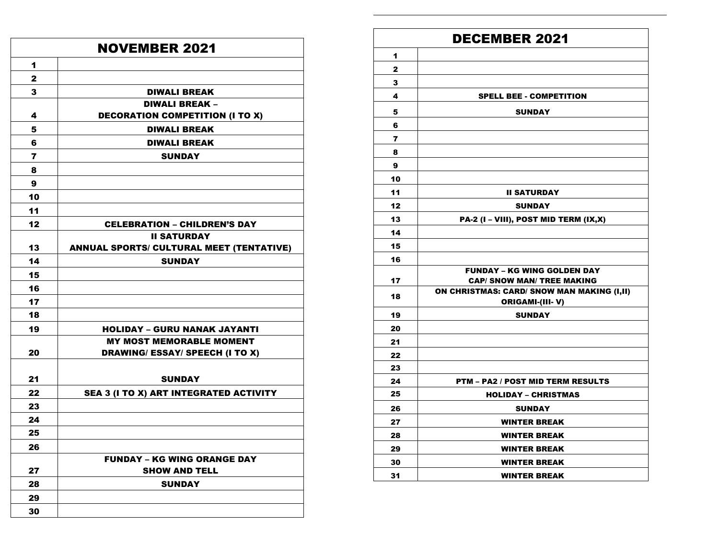| <b>NOVEMBER 2021</b> |                                                 |
|----------------------|-------------------------------------------------|
| 1                    |                                                 |
| 2                    |                                                 |
| 3                    | <b>DIWALI BREAK</b>                             |
|                      | DIWALI BREAK -                                  |
| 4                    | <b>DECORATION COMPETITION (I TO X)</b>          |
| 5                    | <b>DIWALI BREAK</b>                             |
| 6                    | <b>DIWALI BREAK</b>                             |
| 7                    | <b>SUNDAY</b>                                   |
| 8                    |                                                 |
| 9                    |                                                 |
| 10                   |                                                 |
| 11                   |                                                 |
| 12                   | <b>CELEBRATION - CHILDREN'S DAY</b>             |
|                      | <b>II SATURDAY</b>                              |
| 13                   | <b>ANNUAL SPORTS/ CULTURAL MEET (TENTATIVE)</b> |
| 14                   | <b>SUNDAY</b>                                   |
| 15                   |                                                 |
| 16                   |                                                 |
| 17                   |                                                 |
| 18                   |                                                 |
| 19                   | <b>HOLIDAY - GURU NANAK JAYANTI</b>             |
|                      | <b>MY MOST MEMORABLE MOMENT</b>                 |
| 20                   | <b>DRAWING/ ESSAY/ SPEECH (I TO X)</b>          |
|                      |                                                 |
| 21                   | <b>SUNDAY</b>                                   |
| 22                   | SEA 3 (I TO X) ART INTEGRATED ACTIVITY          |
| 23                   |                                                 |
| 24                   |                                                 |
| 25                   |                                                 |
| 26                   |                                                 |
|                      | <b>FUNDAY - KG WING ORANGE DAY</b>              |
| 27                   | <b>SHOW AND TELL</b>                            |
| 28                   | <b>SUNDAY</b>                                   |
| 29                   |                                                 |
| 30                   |                                                 |

## DECEMBER 2021

| 1              |                                                               |
|----------------|---------------------------------------------------------------|
| 2              |                                                               |
| 3              |                                                               |
| 4              | <b>SPELL BEE - COMPETITION</b>                                |
| 5              | <b>SUNDAY</b>                                                 |
| 6              |                                                               |
| $\overline{ }$ |                                                               |
| 8              |                                                               |
| 9              |                                                               |
| 10             |                                                               |
| 11             | <b>II SATURDAY</b>                                            |
| 12             | <b>SUNDAY</b>                                                 |
| 13             | PA-2 (I - VIII), POST MID TERM (IX,X)                         |
| 14             |                                                               |
| 15             |                                                               |
| 16             |                                                               |
|                | <b>FUNDAY - KG WING GOLDEN DAY</b>                            |
| 17             | <b>CAP/ SNOW MAN/ TREE MAKING</b>                             |
| 18             | ON CHRISTMAS: CARD/ SNOW MAN MAKING (I,II)<br>ORIGAMI-(III-V) |
| 19             | <b>SUNDAY</b>                                                 |
| 20             |                                                               |
| 21             |                                                               |
| 22             |                                                               |
| 23             |                                                               |
| 24             | <b>PTM – PA2 / POST MID TERM RESULTS</b>                      |
| 25             | <b>HOLIDAY - CHRISTMAS</b>                                    |
| 26             | <b>SUNDAY</b>                                                 |
| 27             | <b>WINTER BREAK</b>                                           |
| 28             | <b>WINTER BREAK</b>                                           |
| 29             | <b>WINTER BREAK</b>                                           |
| 30             | <b>WINTER BREAK</b>                                           |
| 31             | <b>WINTER BREAK</b>                                           |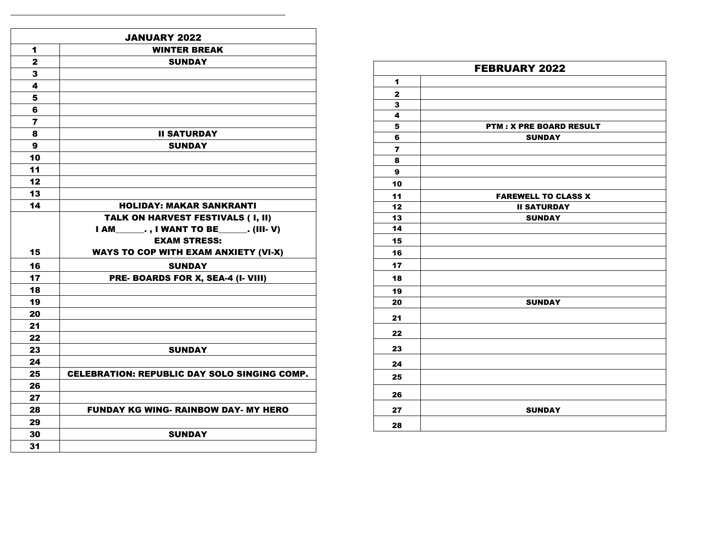|                         | JANUARY 2022                                        |
|-------------------------|-----------------------------------------------------|
| 1                       | <b>WINTER BREAK</b>                                 |
| $\overline{\mathbf{2}}$ | <b>SUNDAY</b>                                       |
| 3                       |                                                     |
| 4                       |                                                     |
| 5                       |                                                     |
| 6                       |                                                     |
| $\overline{7}$          |                                                     |
| 8                       | <b>II SATURDAY</b>                                  |
| 9                       | <b>SUNDAY</b>                                       |
| 10                      |                                                     |
| 11                      |                                                     |
| 12                      |                                                     |
| 13                      |                                                     |
| 14                      | <b>HOLIDAY: MAKAR SANKRANTI</b>                     |
|                         | TALK ON HARVEST FESTIVALS (I, II)                   |
|                         | I AM__________, I WANT TO BE________. (III-V)       |
|                         | <b>EXAM STRESS:</b>                                 |
| 15                      | <b>WAYS TO COP WITH EXAM ANXIETY (VI-X)</b>         |
| 16                      | <b>SUNDAY</b>                                       |
| 17                      | PRE- BOARDS FOR X, SEA-4 (I- VIII)                  |
| 18                      |                                                     |
| 19                      |                                                     |
| 20                      |                                                     |
| 21                      |                                                     |
| 22                      |                                                     |
| 23                      | <b>SUNDAY</b>                                       |
| 24                      |                                                     |
| 25                      | <b>CELEBRATION: REPUBLIC DAY SOLO SINGING COMP.</b> |
| 26                      |                                                     |
| 27                      |                                                     |
| 28                      | <b>FUNDAY KG WING- RAINBOW DAY- MY HERO</b>         |
| 29                      |                                                     |
| 30                      | <b>SUNDAY</b>                                       |
| 31                      |                                                     |

| <b>FEBRUARY 2022</b> |                                |  |
|----------------------|--------------------------------|--|
| 1                    |                                |  |
| $\mathbf{2}$         |                                |  |
| 3                    |                                |  |
| 4                    |                                |  |
| 5                    | <b>PTM: X PRE BOARD RESULT</b> |  |
| 6                    | <b>SUNDAY</b>                  |  |
| $\overline{7}$       |                                |  |
| 8                    |                                |  |
| 9                    |                                |  |
| 10                   |                                |  |
| 11                   | <b>FAREWELL TO CLASS X</b>     |  |
| 12                   | <b>II SATURDAY</b>             |  |
| 13                   | <b>SUNDAY</b>                  |  |
| 14                   |                                |  |
| 15                   |                                |  |
| 16                   |                                |  |
| 17                   |                                |  |
| 18                   |                                |  |
| 19                   |                                |  |
| 20                   | <b>SUNDAY</b>                  |  |
| 21                   |                                |  |
| 22                   |                                |  |
| 23                   |                                |  |
| 24                   |                                |  |
| 25                   |                                |  |
| 26                   |                                |  |
| 27                   | <b>SUNDAY</b>                  |  |
| 28                   |                                |  |